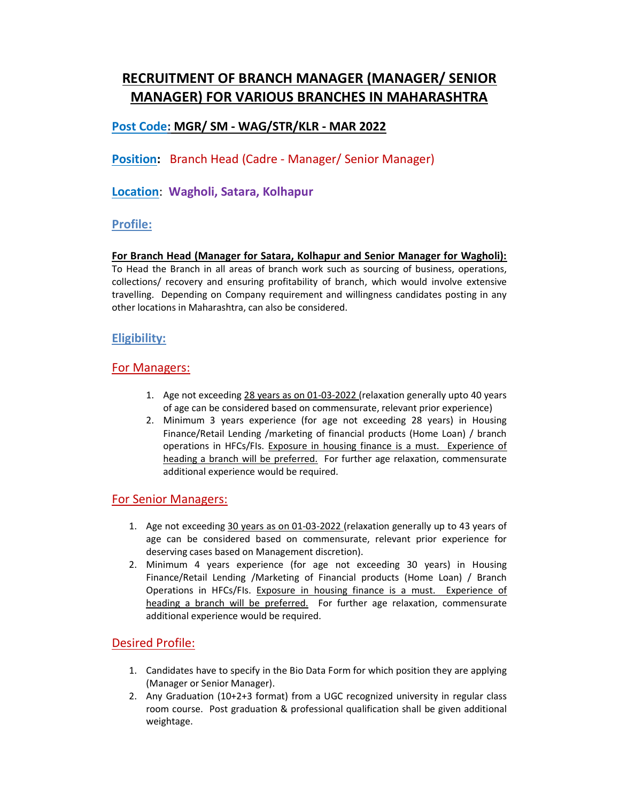# RECRUITMENT OF BRANCH MANAGER (MANAGER/ SENIOR MANAGER) FOR VARIOUS BRANCHES IN MAHARASHTRA

# Post Code: MGR/ SM - WAG/STR/KLR - MAR 2022

Position: Branch Head (Cadre - Manager/ Senior Manager)

Location: Wagholi, Satara, Kolhapur

### Profile:

For Branch Head (Manager for Satara, Kolhapur and Senior Manager for Wagholi): To Head the Branch in all areas of branch work such as sourcing of business, operations, collections/ recovery and ensuring profitability of branch, which would involve extensive travelling. Depending on Company requirement and willingness candidates posting in any other locations in Maharashtra, can also be considered.

## Eligibility:

#### For Managers:

- 1. Age not exceeding 28 years as on 01-03-2022 (relaxation generally upto 40 years of age can be considered based on commensurate, relevant prior experience)
- 2. Minimum 3 years experience (for age not exceeding 28 years) in Housing Finance/Retail Lending /marketing of financial products (Home Loan) / branch operations in HFCs/FIs. Exposure in housing finance is a must. Experience of heading a branch will be preferred. For further age relaxation, commensurate additional experience would be required.

### For Senior Managers:

- 1. Age not exceeding 30 years as on 01-03-2022 (relaxation generally up to 43 years of age can be considered based on commensurate, relevant prior experience for deserving cases based on Management discretion).
- 2. Minimum 4 years experience (for age not exceeding 30 years) in Housing Finance/Retail Lending /Marketing of Financial products (Home Loan) / Branch Operations in HFCs/FIs. Exposure in housing finance is a must. Experience of heading a branch will be preferred. For further age relaxation, commensurate additional experience would be required.

### Desired Profile:

- 1. Candidates have to specify in the Bio Data Form for which position they are applying (Manager or Senior Manager).
- 2. Any Graduation (10+2+3 format) from a UGC recognized university in regular class room course. Post graduation & professional qualification shall be given additional weightage.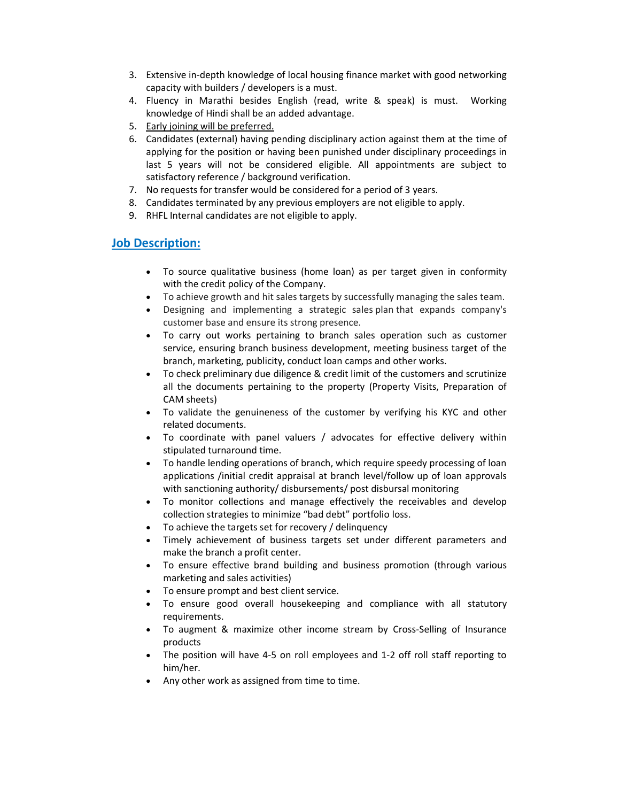- 3. Extensive in-depth knowledge of local housing finance market with good networking capacity with builders / developers is a must.
- 4. Fluency in Marathi besides English (read, write & speak) is must. Working knowledge of Hindi shall be an added advantage.
- 5. Early joining will be preferred.
- 6. Candidates (external) having pending disciplinary action against them at the time of applying for the position or having been punished under disciplinary proceedings in last 5 years will not be considered eligible. All appointments are subject to satisfactory reference / background verification.
- 7. No requests for transfer would be considered for a period of 3 years.
- 8. Candidates terminated by any previous employers are not eligible to apply.
- 9. RHFL Internal candidates are not eligible to apply.

### **Job Description:**

- To source qualitative business (home loan) as per target given in conformity with the credit policy of the Company.
- To achieve growth and hit sales targets by successfully managing the sales team.
- Designing and implementing a strategic sales plan that expands company's customer base and ensure its strong presence.
- To carry out works pertaining to branch sales operation such as customer service, ensuring branch business development, meeting business target of the branch, marketing, publicity, conduct loan camps and other works.
- To check preliminary due diligence & credit limit of the customers and scrutinize all the documents pertaining to the property (Property Visits, Preparation of CAM sheets)
- To validate the genuineness of the customer by verifying his KYC and other related documents.
- To coordinate with panel valuers / advocates for effective delivery within stipulated turnaround time.
- To handle lending operations of branch, which require speedy processing of loan applications /initial credit appraisal at branch level/follow up of loan approvals with sanctioning authority/ disbursements/ post disbursal monitoring
- To monitor collections and manage effectively the receivables and develop collection strategies to minimize "bad debt" portfolio loss.
- To achieve the targets set for recovery / delinquency
- Timely achievement of business targets set under different parameters and make the branch a profit center.
- To ensure effective brand building and business promotion (through various marketing and sales activities)
- To ensure prompt and best client service.
- To ensure good overall housekeeping and compliance with all statutory requirements.
- To augment & maximize other income stream by Cross-Selling of Insurance products
- The position will have 4-5 on roll employees and 1-2 off roll staff reporting to him/her.
- Any other work as assigned from time to time.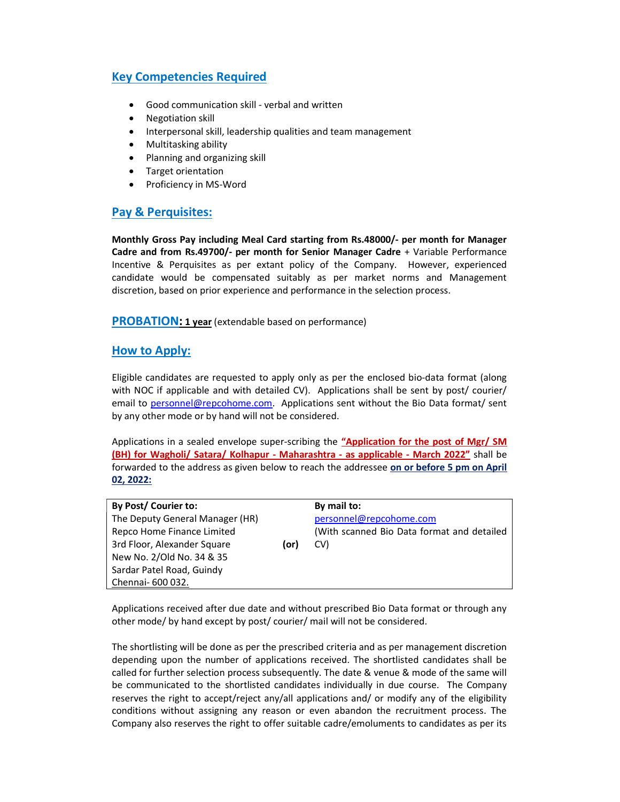## Key Competencies Required

- Good communication skill verbal and written
- Negotiation skill
- Interpersonal skill, leadership qualities and team management
- Multitasking ability
- Planning and organizing skill
- Target orientation
- Proficiency in MS-Word

### Pay & Perquisites:

Monthly Gross Pay including Meal Card starting from Rs.48000/- per month for Manager Cadre and from Rs.49700/- per month for Senior Manager Cadre + Variable Performance Incentive & Perquisites as per extant policy of the Company. However, experienced candidate would be compensated suitably as per market norms and Management discretion, based on prior experience and performance in the selection process.

**PROBATION: 1 year** (extendable based on performance)

#### How to Apply:

Eligible candidates are requested to apply only as per the enclosed bio-data format (along with NOC if applicable and with detailed CV). Applications shall be sent by post/ courier/ email to personnel@repcohome.com. Applications sent without the Bio Data format/ sent by any other mode or by hand will not be considered.

Applications in a sealed envelope super-scribing the "Application for the post of Mgr/ SM (BH) for Wagholi/ Satara/ Kolhapur - Maharashtra - as applicable - March 2022" shall be forwarded to the address as given below to reach the addressee on or before 5 pm on April 02, 2022:

| By Post/ Courier to: |  |  |
|----------------------|--|--|
|----------------------|--|--|

The Deputy General Manager (HR) Repco Home Finance Limited 3rd Floor, Alexander Square (or) New No. 2/Old No. 34 & 35 Sardar Patel Road, Guindy Chennai- 600 032.

By mail to: personnel@repcohome.com (With scanned Bio Data format and detailed CV)

Applications received after due date and without prescribed Bio Data format or through any other mode/ by hand except by post/ courier/ mail will not be considered.

The shortlisting will be done as per the prescribed criteria and as per management discretion depending upon the number of applications received. The shortlisted candidates shall be called for further selection process subsequently. The date & venue & mode of the same will be communicated to the shortlisted candidates individually in due course. The Company reserves the right to accept/reject any/all applications and/ or modify any of the eligibility conditions without assigning any reason or even abandon the recruitment process. The Company also reserves the right to offer suitable cadre/emoluments to candidates as per its